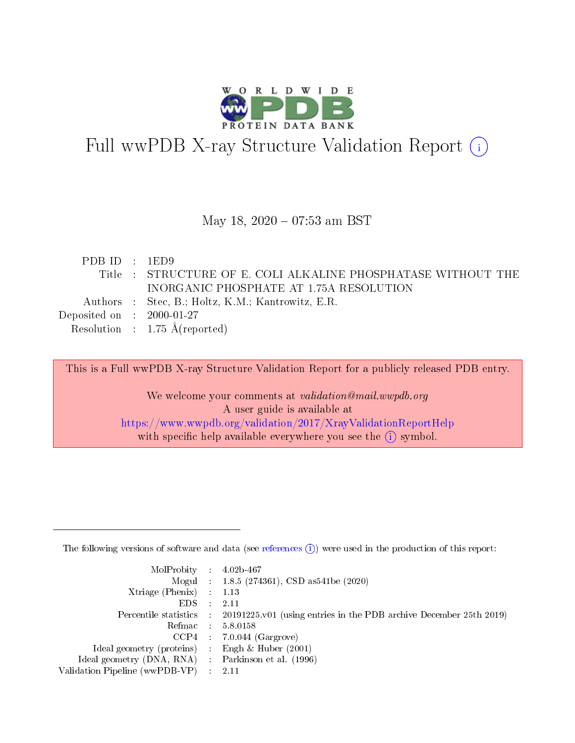

# Full wwPDB X-ray Structure Validation Report (i)

#### May 18, 2020 - 07:53 am BST

| PDBID : 1ED9                         |                                                               |
|--------------------------------------|---------------------------------------------------------------|
|                                      | Title : STRUCTURE OF E. COLI ALKALINE PHOSPHATASE WITHOUT THE |
|                                      | INORGANIC PHOSPHATE AT 1.75A RESOLUTION                       |
|                                      | Authors : Stec, B.; Holtz, K.M.; Kantrowitz, E.R.             |
| Deposited on $\therefore$ 2000-01-27 |                                                               |
|                                      | Resolution : $1.75 \text{ Å}$ (reported)                      |

This is a Full wwPDB X-ray Structure Validation Report for a publicly released PDB entry.

We welcome your comments at validation@mail.wwpdb.org A user guide is available at <https://www.wwpdb.org/validation/2017/XrayValidationReportHelp> with specific help available everywhere you see the  $(i)$  symbol.

The following versions of software and data (see [references](https://www.wwpdb.org/validation/2017/XrayValidationReportHelp#references)  $(1)$ ) were used in the production of this report:

| $MolProbability$ : 4.02b-467                      |                              |                                                                                            |
|---------------------------------------------------|------------------------------|--------------------------------------------------------------------------------------------|
|                                                   |                              | Mogul : 1.8.5 (274361), CSD as 541be (2020)                                                |
| Xtriage (Phenix) $: 1.13$                         |                              |                                                                                            |
| EDS –                                             | $\sim$                       | -2.11                                                                                      |
|                                                   |                              | Percentile statistics : 20191225.v01 (using entries in the PDB archive December 25th 2019) |
| Refmac : 5.8.0158                                 |                              |                                                                                            |
| CCP4                                              |                              | $7.0.044$ (Gargrove)                                                                       |
| Ideal geometry (proteins)                         | $\mathcal{L}_{\mathrm{eff}}$ | Engh & Huber $(2001)$                                                                      |
| Ideal geometry (DNA, RNA) Parkinson et al. (1996) |                              |                                                                                            |
| Validation Pipeline (wwPDB-VP) : 2.11             |                              |                                                                                            |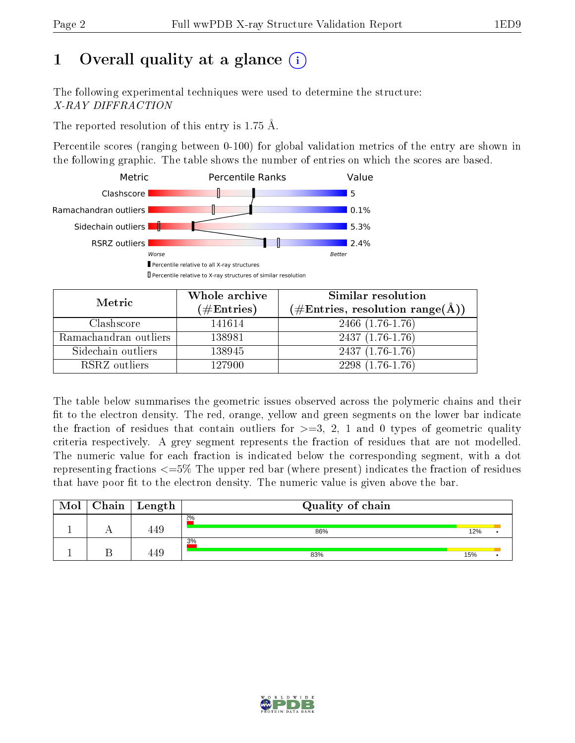# 1 [O](https://www.wwpdb.org/validation/2017/XrayValidationReportHelp#overall_quality)verall quality at a glance  $(i)$

The following experimental techniques were used to determine the structure: X-RAY DIFFRACTION

The reported resolution of this entry is 1.75 Å.

Percentile scores (ranging between 0-100) for global validation metrics of the entry are shown in the following graphic. The table shows the number of entries on which the scores are based.



| Metric                | Whole archive<br>$(\#\text{Entries})$ | Similar resolution<br>$(\#\text{Entries}, \text{resolution range}(\text{\AA}))$ |
|-----------------------|---------------------------------------|---------------------------------------------------------------------------------|
| Clashscore            | 141614                                | $2466(1.76-1.76)$                                                               |
| Ramachandran outliers | 138981                                | $2437(1.76-1.76)$                                                               |
| Sidechain outliers    | 138945                                | $2437(1.76-1.76)$                                                               |
| RSRZ outliers         | 127900                                | $2298(1.76-1.76)$                                                               |

The table below summarises the geometric issues observed across the polymeric chains and their fit to the electron density. The red, orange, yellow and green segments on the lower bar indicate the fraction of residues that contain outliers for  $\geq=3$ , 2, 1 and 0 types of geometric quality criteria respectively. A grey segment represents the fraction of residues that are not modelled. The numeric value for each fraction is indicated below the corresponding segment, with a dot representing fractions  $\epsilon = 5\%$  The upper red bar (where present) indicates the fraction of residues that have poor fit to the electron density. The numeric value is given above the bar.

| Mol | Chain | Length | Quality of chain |     |  |
|-----|-------|--------|------------------|-----|--|
|     |       | 449    | 2%<br>86%        | 12% |  |
|     |       | 449    | 3%<br>83%        | 15% |  |

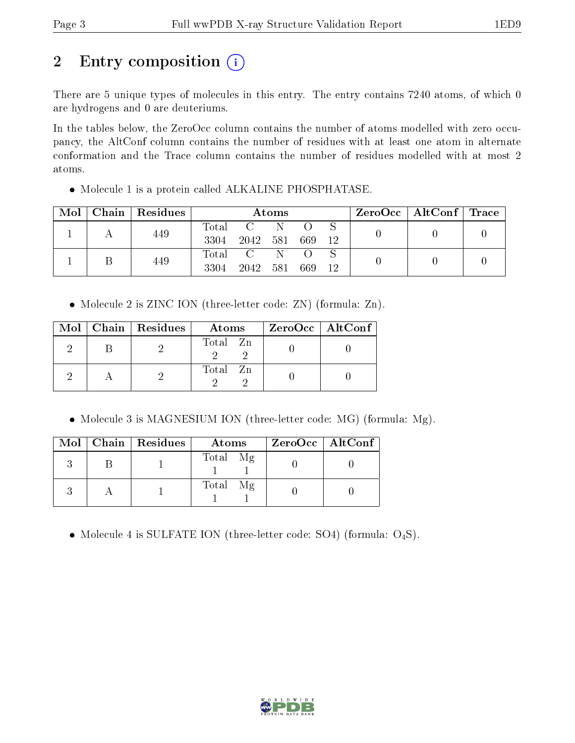# 2 Entry composition (i)

There are 5 unique types of molecules in this entry. The entry contains 7240 atoms, of which 0 are hydrogens and 0 are deuteriums.

In the tables below, the ZeroOcc column contains the number of atoms modelled with zero occupancy, the AltConf column contains the number of residues with at least one atom in alternate conformation and the Trace column contains the number of residues modelled with at most 2 atoms.

• Molecule 1 is a protein called ALKALINE PHOSPHATASE.

| Mol | Chain   Residues | Atoms                    |      |       |     | $\rm ZeroOcc$   Alt $\rm Conf$   Trace |  |  |
|-----|------------------|--------------------------|------|-------|-----|----------------------------------------|--|--|
|     | 449              | $\rm Total$<br>3304      | 2042 | - 581 | 669 | 12                                     |  |  |
|     | 449              | $\mathrm{Total}$<br>3304 | 2042 | 581   | 669 | 12                                     |  |  |

• Molecule 2 is ZINC ION (three-letter code: ZN) (formula: Zn).

|  | $Mol$   Chain   Residues | Atoms    | $ZeroOcc$   AltConf |  |
|--|--------------------------|----------|---------------------|--|
|  |                          | Total Zn |                     |  |
|  |                          | Total Zn |                     |  |

• Molecule 3 is MAGNESIUM ION (three-letter code: MG) (formula: Mg).

|  | $Mol$   Chain   Residues | Atoms    | ZeroOcc   AltConf |
|--|--------------------------|----------|-------------------|
|  |                          | Total Mg |                   |
|  |                          | Total Mg |                   |

• Molecule 4 is SULFATE ION (three-letter code: SO4) (formula:  $O_4S$ ).

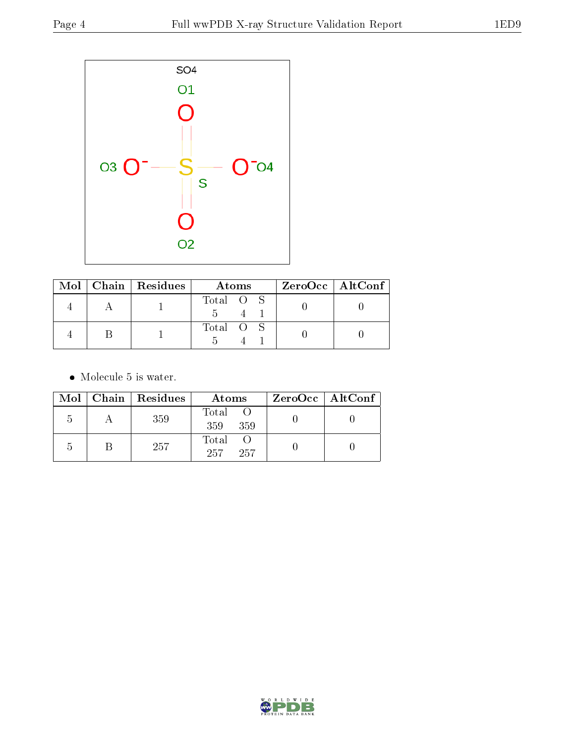

|  | $Mol$   Chain   Residues | Atoms     | $ZeroOcc \   \$ AltConf |
|--|--------------------------|-----------|-------------------------|
|  |                          | Total O S |                         |
|  |                          | Total O S |                         |

• Molecule 5 is water.

|                | $Mol$   Chain   Residues | Atoms               | $ZeroOcc \   \ AltConf \  $ |
|----------------|--------------------------|---------------------|-----------------------------|
| $\mathcal{D}$  | 359                      | Total<br>359<br>359 |                             |
| $\overline{ }$ | 257                      | Total<br>257<br>257 |                             |

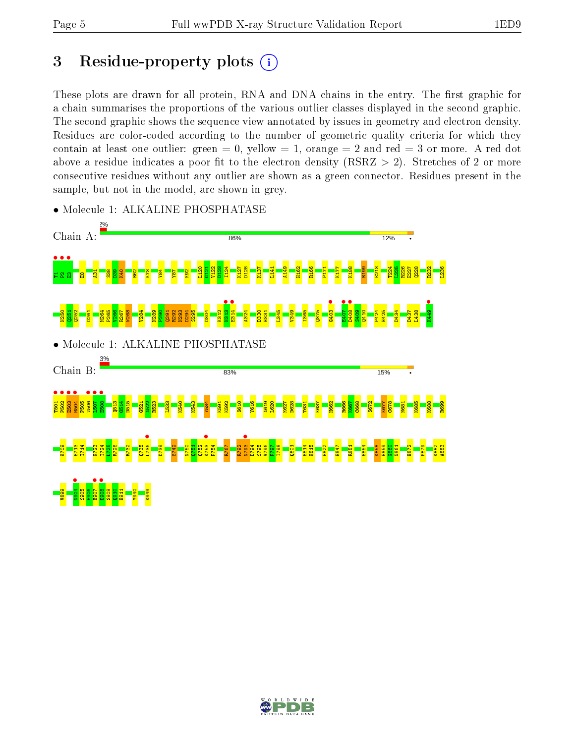# 3 Residue-property plots  $(i)$

These plots are drawn for all protein, RNA and DNA chains in the entry. The first graphic for a chain summarises the proportions of the various outlier classes displayed in the second graphic. The second graphic shows the sequence view annotated by issues in geometry and electron density. Residues are color-coded according to the number of geometric quality criteria for which they contain at least one outlier: green  $= 0$ , yellow  $= 1$ , orange  $= 2$  and red  $= 3$  or more. A red dot above a residue indicates a poor fit to the electron density (RSRZ  $> 2$ ). Stretches of 2 or more consecutive residues without any outlier are shown as a green connector. Residues present in the sample, but not in the model, are shown in grey.



• Molecule 1: ALKALINE PHOSPHATASE

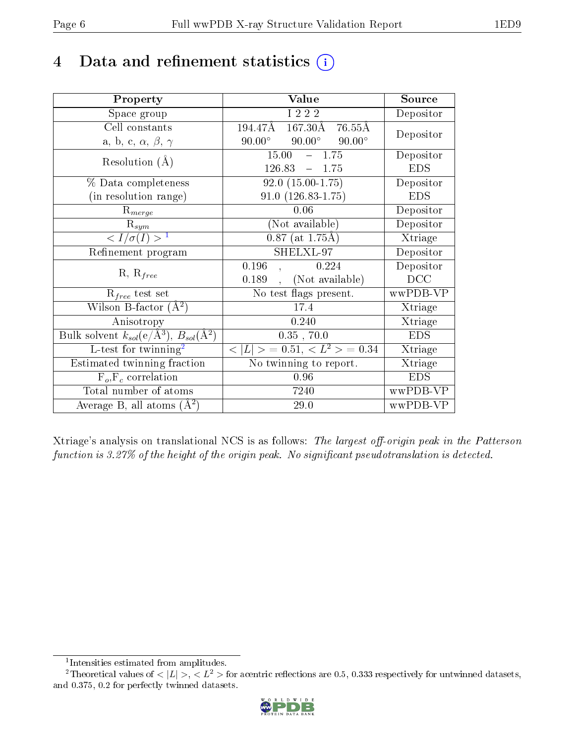## 4 Data and refinement statistics  $(i)$

| Property                                                         | Value                                              | Source     |
|------------------------------------------------------------------|----------------------------------------------------|------------|
| Space group                                                      | I 2 2 2                                            | Depositor  |
| Cell constants                                                   | 194.47Å<br>$167.30\text{\AA}$<br>$76.55\text{\AA}$ | Depositor  |
| a, b, c, $\alpha$ , $\beta$ , $\gamma$                           | $90.00^\circ$<br>$90.00^\circ$<br>$90.00^\circ$    |            |
| Resolution $(A)$                                                 | 15.00<br>$-1.75$                                   | Depositor  |
|                                                                  | $126.83 - 1.75$                                    | <b>EDS</b> |
| % Data completeness                                              | $92.0(15.00-1.75)$                                 | Depositor  |
| (in resolution range)                                            | $91.0(126.83 - 1.75)$                              | <b>EDS</b> |
| $R_{merge}$                                                      | 0.06                                               | Depositor  |
| $\mathrm{R}_{sym}$                                               | (Not available)                                    | Depositor  |
| $\langle I/\sigma(I) \rangle^{-1}$                               | $0.87$ (at 1.75Å)                                  | Xtriage    |
| Refinement program                                               | SHELXL-97                                          | Depositor  |
|                                                                  | 0.196<br>0.224                                     | Depositor  |
| $R, R_{free}$                                                    | (Not available)<br>0.189                           | DCC        |
| $R_{free}$ test set                                              | No test flags present.                             | wwPDB-VP   |
| Wilson B-factor $(A^2)$                                          | 17.4                                               | Xtriage    |
| Anisotropy                                                       | 0.240                                              | Xtriage    |
| Bulk solvent $k_{sol}(\text{e}/\text{A}^3), B_{sol}(\text{A}^2)$ | $0.35$ , $70.0$                                    | <b>EDS</b> |
| L-test for twinning <sup>2</sup>                                 | $< L >$ = 0.51, $< L2$ > = 0.34                    | Xtriage    |
| Estimated twinning fraction                                      | No twinning to report.                             | Xtriage    |
| $F_o, F_c$ correlation                                           | 0.96                                               | <b>EDS</b> |
| Total number of atoms                                            | 7240                                               | wwPDB-VP   |
| Average B, all atoms $(A^2)$                                     | 29.0                                               | wwPDB-VP   |

Xtriage's analysis on translational NCS is as follows: The largest off-origin peak in the Patterson function is  $3.27\%$  of the height of the origin peak. No significant pseudotranslation is detected.

<sup>&</sup>lt;sup>2</sup>Theoretical values of  $\langle |L| \rangle$ ,  $\langle L^2 \rangle$  for acentric reflections are 0.5, 0.333 respectively for untwinned datasets, and 0.375, 0.2 for perfectly twinned datasets.



<span id="page-5-1"></span><span id="page-5-0"></span><sup>1</sup> Intensities estimated from amplitudes.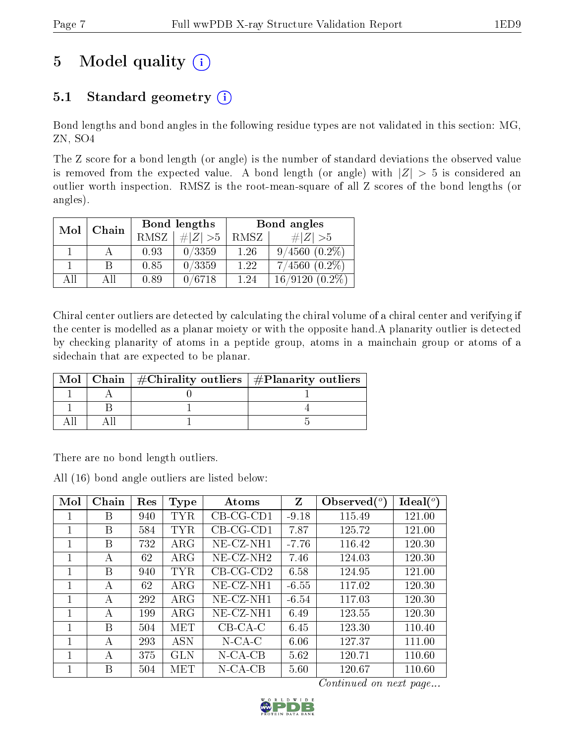# 5 Model quality  $(i)$

### 5.1 Standard geometry  $(i)$

Bond lengths and bond angles in the following residue types are not validated in this section: MG, ZN, SO4

The Z score for a bond length (or angle) is the number of standard deviations the observed value is removed from the expected value. A bond length (or angle) with  $|Z| > 5$  is considered an outlier worth inspection. RMSZ is the root-mean-square of all Z scores of the bond lengths (or angles).

| Mol | Chain |             | Bond lengths | Bond angles |                      |  |
|-----|-------|-------------|--------------|-------------|----------------------|--|
|     |       | <b>RMSZ</b> | # $ Z >5$    | RMSZ        | $\# Z  > 5$          |  |
|     |       | 0.93        | 0/3359       | 1.26        | $9/4560$ $(0.2\%)$   |  |
|     | В     | 0.85        | 0/3359       | 1.22        | $7/4560(0.2\%)$      |  |
| AП  | Αll   | 0.89        | 0/6718       | 1.24        | 16/9120<br>$(0.2\%)$ |  |

Chiral center outliers are detected by calculating the chiral volume of a chiral center and verifying if the center is modelled as a planar moiety or with the opposite hand.A planarity outlier is detected by checking planarity of atoms in a peptide group, atoms in a mainchain group or atoms of a sidechain that are expected to be planar.

| Mol | Chain   $\#\text{Chirality outliers}$   $\#\text{Planarity outliers}$ |  |
|-----|-----------------------------------------------------------------------|--|
|     |                                                                       |  |
|     |                                                                       |  |
|     |                                                                       |  |

There are no bond length outliers.

All (16) bond angle outliers are listed below:

| Mol | Chain | Res | Type       | Atoms        | Z       | Observed $\binom{o}{c}$ | $\text{Ideal}({}^o)$ |
|-----|-------|-----|------------|--------------|---------|-------------------------|----------------------|
|     | Β     | 940 | <b>TYR</b> | $CB-CG-CD1$  | $-9.18$ | 115.49                  | 121.00               |
| 1   | В     | 584 | <b>TYR</b> | $CB-CG-CD1$  | 7.87    | 125.72                  | 121.00               |
| 1   | В     | 732 | $\rm{ARG}$ | $NE- CZ-NH1$ | $-7.76$ | 116.42                  | 120.30               |
| 1   | А     | 62  | $\rm{ARG}$ | $NE- CZ-NH2$ | 7.46    | 124.03                  | 120.30               |
| 1   | В     | 940 | <b>TYR</b> | $CB-CG-CD2$  | 6.58    | 124.95                  | 121.00               |
| 1   | А     | 62  | $\rm{ARG}$ | $NE-CZ-NH1$  | $-6.55$ | 117.02                  | 120.30               |
| 1   | А     | 292 | $\rm{ARG}$ | $NE-CZ-NH1$  | $-6.54$ | 117.03                  | 120.30               |
| 1   | А     | 199 | $\rm{ARG}$ | $NE- CZ-NH1$ | 6.49    | 123.55                  | 120.30               |
|     | В     | 504 | MET        | $CB-CA-C$    | 6.45    | 123.30                  | 110.40               |
| 1   | А     | 293 | <b>ASN</b> | $N$ -CA-C    | 6.06    | 127.37                  | 111.00               |
| 1   | A     | 375 | GLN        | $N$ -CA-CB   | 5.62    | 120.71                  | 110.60               |
|     | В     | 504 | MET        | $N$ -CA-CB   | 5.60    | 120.67                  | 110.60               |

Continued on next page...

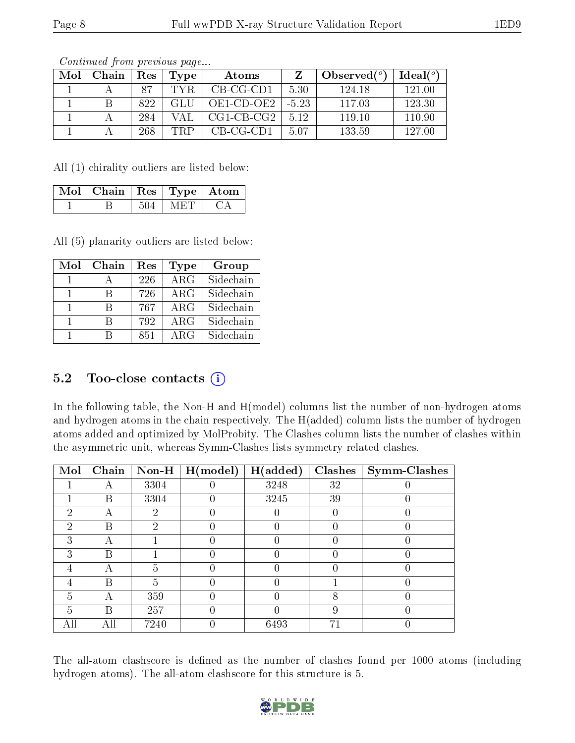| Mol | Chain | Res | Type  | Atoms        |         | Observed $(^\circ)$ | Ideal(°) |
|-----|-------|-----|-------|--------------|---------|---------------------|----------|
|     |       | 87  | TYR.  | $CB-CG-CD1$  | 5.30    | 124.18              | 121.00   |
|     |       | 822 | GLU-  | OE1-CD-OE2   | $-5.23$ | 117.03              | 123.30   |
|     |       | 284 | V A L | $CG1-CB-CG2$ | 5.12    | 119.10              | 110.90   |
|     |       | 268 | TRP   | CB-CG-CD1    | 5 0 7   | 133.59              | 127.00   |

Continued from previous page...

All (1) chirality outliers are listed below:

| Mol   Chain   Res   Type   Atom |  |  |
|---------------------------------|--|--|
|                                 |  |  |

All (5) planarity outliers are listed below:

| Mol | Chain | Res | Type                    | Group     |
|-----|-------|-----|-------------------------|-----------|
|     |       | 226 | $\overline{\text{ARG}}$ | Sidechain |
|     | R     | 726 | $\rm{ARG}$              | Sidechain |
|     | R     | 767 | ARG                     | Sidechain |
|     | R     | 792 | $\rm{ARG}$              | Sidechain |
|     | R     | 851 | ARG                     | Sidechain |

### $5.2$  Too-close contacts  $(i)$

In the following table, the Non-H and H(model) columns list the number of non-hydrogen atoms and hydrogen atoms in the chain respectively. The H(added) column lists the number of hydrogen atoms added and optimized by MolProbity. The Clashes column lists the number of clashes within the asymmetric unit, whereas Symm-Clashes lists symmetry related clashes.

| Mol                         | Chain | Non-H | H (model) | H(added) | <b>Clashes</b> | <b>Symm-Clashes</b> |
|-----------------------------|-------|-------|-----------|----------|----------------|---------------------|
|                             | А     | 3304  |           | 3248     | 32             |                     |
|                             | Β     | 3304  |           | 3245     | 39             |                     |
| $\mathcal{D}_{\mathcal{L}}$ | А     | 2     |           |          |                |                     |
| $\mathcal{P}$               | В     | റ     |           |          |                |                     |
| 3                           | А     |       |           |          |                |                     |
| 3                           | В     |       |           |          |                |                     |
| 4                           |       | h.    |           |          |                |                     |
| 4                           | В     | 5     |           |          |                |                     |
| 5                           |       | 359   |           |          | 8              |                     |
| 5                           | B     | 257   |           |          |                |                     |
| All                         | All   | 7240  |           | 6493     | 71             |                     |

The all-atom clashscore is defined as the number of clashes found per 1000 atoms (including hydrogen atoms). The all-atom clashscore for this structure is 5.

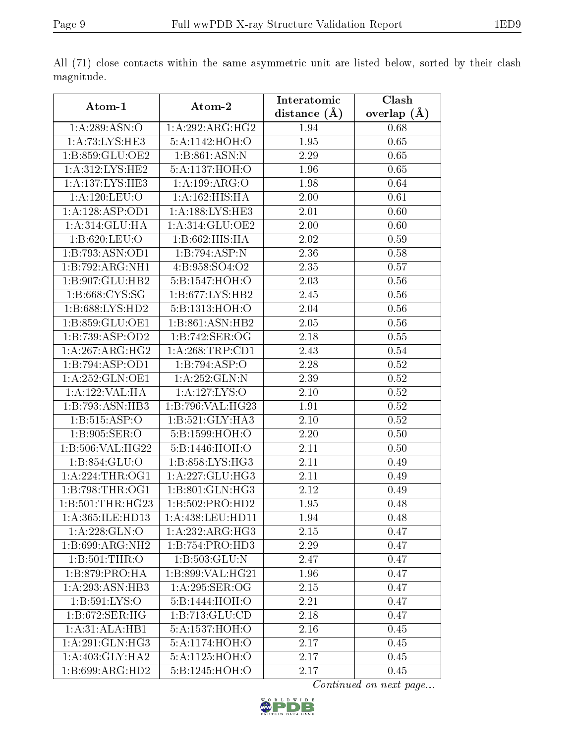|                              |                             | Interatomic       | Clash         |
|------------------------------|-----------------------------|-------------------|---------------|
| Atom-1                       | Atom-2                      | distance $(\AA)$  | overlap $(A)$ |
| 1:A:289:ASN:O                | 1: A:292:ARG:HG2            | 1.94              | 0.68          |
| 1:A:73:LYS:HE3               | 5:A:1142:HOH:O              | 1.95              | 0.65          |
| 1:B:859:GLU:OE2              | 1: B: 861: ASN: N           | 2.29              | 0.65          |
| 1: A:312: LYS: HE2           | 5:A:1137:HOH:O              | 1.96              | 0.65          |
| 1:A:137:LYS:HE3              | 1:A:199:ARG:O               | 1.98              | 0.64          |
| 1:A:120:LEU:O                | 1:A:162:HIS:HA              | 2.00              | 0.61          |
| 1:A:128:ASP:OD1              | 1:A:188:LYS:HE3             | 2.01              | 0.60          |
| 1: A:314: GLU: HA            | 1:A:314:GLU:OE2             | 2.00              | 0.60          |
| 1:B:620:LEU:O                | 1:B:662:HIS:HA              | 2.02              | 0.59          |
| 1:B:793:ASN:OD1              | 1:B:794:ASP:N               | 2.36              | 0.58          |
| 1:B:792:ARG:NH1              | 4:B:958:SO4:O2              | 2.35              | 0.57          |
| 1:B:907:GLU:HB2              | 5:B:1547:HOH:O              | 2.03              | 0.56          |
| 1:B:668:CYS:SG               | 1:B:677:LYS:HB2             | 2.45              | 0.56          |
| 1:B:688:LYS:HD2              | 5:B:1313:HOH:O              | 2.04              | 0.56          |
| 1:B:859:GLU:OE1              | 1:B:861:ASN:HB2             | 2.05              | 0.56          |
| 1:B:739:ASP:OD2              | 1:B:742:SER:OG              | 2.18              | 0.55          |
| 1:A:267:ARG:HG2              | 1: A:268:TRP:CD1            | 2.43              | 0.54          |
| 1:B:794:ASP:OD1              | 1:B:794:ASP:O               | 2.28              | 0.52          |
| 1: A: 252: GLN: OE1          | 1:A:252:GLN:N               | $\overline{2.39}$ | 0.52          |
| 1:A:122:VAL:HA               | 1:A:127:LYS:O               | 2.10              | 0.52          |
| 1:B:793:ASN:HB3              | 1:B:796:VAL:HG23            | 1.91              | 0.52          |
| 1:B:515:ASP:O                | 1:B:521:GLY:HA3             | 2.10              | 0.52          |
| 1:B:905:SER:O                | 5:B:1599:HOH:O              | 2.20              | 0.50          |
| 1:B:506:VAL:HG22             | 5:B:1446:HOH:O              | $2.11\,$          | 0.50          |
| 1:B:854:GLU:O                | 1:B:858:LYS:HG3             | 2.11              | 0.49          |
| 1: A:224:THR:OG1             | 1:A:227:GLU:HG3             | 2.11              | 0.49          |
| 1:B:798:THR:OG1              | 1: B:801: GLN: HG3          | 2.12              | 0.49          |
| 1: B:501:THR:HG23            | 1:B:502:PRO:HD2             | 1.95              | 0.48          |
| 1:A:365:ILE:HD13             | 1:A:438:LEU:HD11            | 1.94              | 0.48          |
| 1: A:228: GLN:O              | 1:A:232:ARG:HG3             | 2.15              | 0.47          |
| $1:B:699:AR\overline{G:NH2}$ | 1:B:754:PRO:H <sub>D3</sub> | 2.29              | 0.47          |
| 1:B:501:THR:O                | 1:B:503:GLU:N               | 2.47              | 0.47          |
| 1: B: 879: PRO: HA           | 1:B:899:VAL:HG21            | 1.96              | 0.47          |
| 1:A:293:ASN:HB3              | 1: A:295: SER:OG            | $2.15\,$          | 0.47          |
| 1:B:591:LYS:O                | 5:B:1444:HOH:O              | 2.21              | 0.47          |
| 1:B:672:SER:HG               | 1:B:713:GLU:CD              | 2.18              | 0.47          |
| 1:A:31:ALA:HB1               | 5:A:1537:HOH:O              | 2.16              | 0.45          |
| $1:A:29\overline{1:GLN:HG3}$ | 5:A:1174:HOH:O              | 2.17              | 0.45          |
| 1:A:403:GLY:HA2              | 5:A:1125:HOH:O              | 2.17              | 0.45          |
| 1:B:699:ARG:HD2              | 5:B:1245:HOH:O              | 2.17              | 0.45          |

All (71) close contacts within the same asymmetric unit are listed below, sorted by their clash magnitude.

Continued on next page...

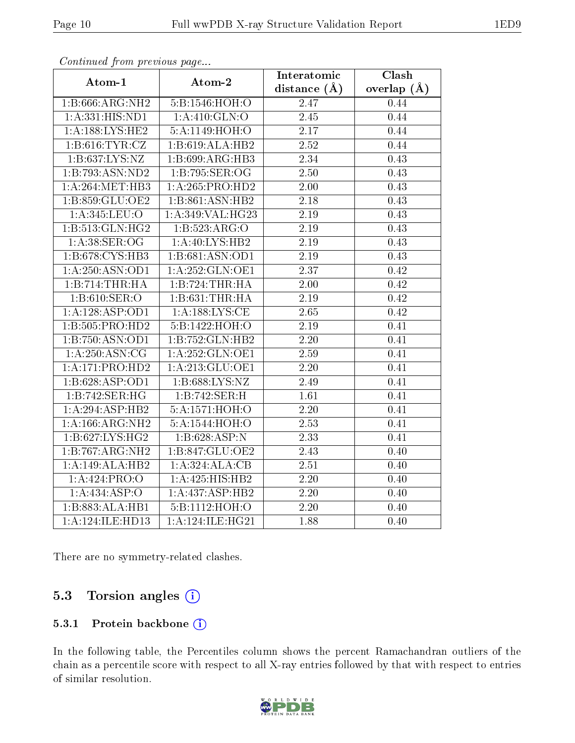| onderde grotte proceed way out. |                                    | Interatomic       | Clash         |
|---------------------------------|------------------------------------|-------------------|---------------|
| Atom-1                          | Atom-2                             | distance $(\AA)$  | overlap $(A)$ |
| 1:B:666:ARG:NH2                 | 5:B:1546:HOH:O                     | 2.47              | 0.44          |
| 1: A: 331: HIS: ND1             | 1: A:410: GLN:O                    | 2.45              | 0.44          |
| 1: A: 188: LYS: HE2             | $5:\mathrm{A}:1149:\mathrm{HOH}:O$ | $\overline{2.17}$ | 0.44          |
| 1: B:616: TYR: CZ               | 1:B:619:ALA:HB2                    | 2.52              | 0.44          |
| 1:B:637:LYS:NZ                  | 1:B:699:ARG:HB3                    | 2.34              | 0.43          |
| 1:B:793:ASN:ND2                 | 1:B:795:SER:OG                     | 2.50              | 0.43          |
| 1: A:264:MET:HB3                | 1: A:265: PRO:HD2                  | $\overline{2.00}$ | 0.43          |
| 1:B:859:GLU:OE2                 | 1:B:861:ASN:HB2                    | $2.18\,$          | 0.43          |
| 1:A:345:LEU:O                   | 1:A:349:VAL:HG23                   | 2.19              | 0.43          |
| 1:B:513:GLN:HG2                 | 1:B:523:ARG:O                      | 2.19              | 0.43          |
| 1: A:38: SER:OG                 | 1:A:40:LYS:HB2                     | 2.19              | 0.43          |
| 1:B:678:CYS:HB3                 | 1: B:681:ASN:OD1                   | $\overline{2}.19$ | 0.43          |
| 1: A:250: ASN:OD1               | 1: A:252: GLN:OE1                  | 2.37              | 0.42          |
| 1:B:714:THR:HA                  | 1:B:724:THR:HA                     | 2.00              | 0.42          |
| 1:B:610:SER:O                   | 1: B:631:THR:HA                    | 2.19              | 0.42          |
| 1: A: 128: ASP: OD1             | 1: A: 188: LYS: CE                 | 2.65              | 0.42          |
| 1:B:505:PRO:HD2                 | 5:B:1422:HOH:O                     | 2.19              | 0.41          |
| 1:B:750:ASN:OD1                 | 1:B:752:GLN:HB2                    | 2.20              | 0.41          |
| 1: A:250: ASN:CG                | 1:A:252:GLN:OE1                    | 2.59              | 0.41          |
| 1:A:171:PRO:HD2                 | 1:A:213:GLU:OE1                    | 2.20              | 0.41          |
| 1:B:628:ASP:OD1                 | 1:B:688:LYS:NZ                     | 2.49              | 0.41          |
| 1:B:742:SER:HG                  | 1:B:742:SER:H                      | 1.61              | 0.41          |
| 1:A:294:ASP:HB2                 | 5:A:1571:HOH:O                     | 2.20              | 0.41          |
| 1:A:166:ARG:NH2                 | 5:A:1544:HOH:O                     | $\overline{2.53}$ | 0.41          |
| 1: B:627: LYS: HG2              | 1:B:628:ASP:N                      | 2.33              | 0.41          |
| 1:B:767:ARG:NH2                 | 1:B:847:GLU:OE2                    | 2.43              | 0.40          |
| 1:A:149:ALA:HB2                 | 1:A:324:ALA:CB                     | 2.51              | 0.40          |
| 1:A:424:PRO:O                   | 1:A:425:HIS:HB2                    | 2.20              | 0.40          |
| 1:A:434:ASP:O                   | 1:A:437:ASP:HB2                    | 2.20              | 0.40          |
| 1:B:883:ALA:HB1                 | 5:B:1112:HOH:O                     | 2.20              | 0.40          |
| 1:A:124:ILE:HD13                | 1:A:124:ILE:HG21                   | 1.88              | 0.40          |

Continued from previous page...

There are no symmetry-related clashes.

### 5.3 Torsion angles (i)

#### 5.3.1 Protein backbone (i)

In the following table, the Percentiles column shows the percent Ramachandran outliers of the chain as a percentile score with respect to all X-ray entries followed by that with respect to entries of similar resolution.

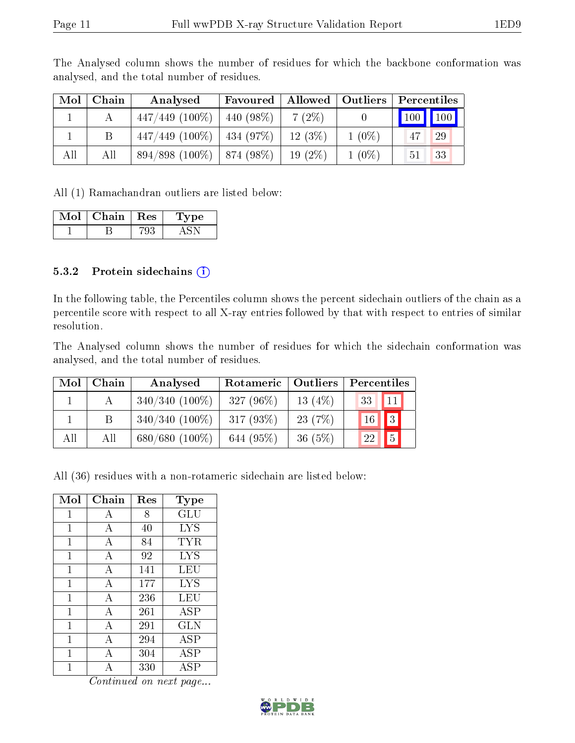| Mol | Chain | Analysed          | <b>Favoured</b>   Allowed   Outliers |           |          | Percentiles                     |    |
|-----|-------|-------------------|--------------------------------------|-----------|----------|---------------------------------|----|
|     |       | $447/449$ (100\%) | $440(98\%)$                          | $7(2\%)$  |          | $\vert$ 100 $\vert$ 100 $\vert$ |    |
|     |       | $447/449$ (100\%) | $ 434(97\%)$                         | 12(3%)    | $1(0\%)$ |                                 | 29 |
| All | All   | $894/898(100\%)$  | $874(98\%)$                          | $19(2\%)$ | $1(0\%)$ | 51 <sup>1</sup>                 | 33 |

The Analysed column shows the number of residues for which the backbone conformation was analysed, and the total number of residues.

All (1) Ramachandran outliers are listed below:

| Mol | Chain | $\overline{\phantom{a}}$ Res $\overline{\phantom{a}}$ | <b>Type</b> |
|-----|-------|-------------------------------------------------------|-------------|
|     |       |                                                       |             |

#### 5.3.2 Protein sidechains  $(i)$

In the following table, the Percentiles column shows the percent sidechain outliers of the chain as a percentile score with respect to all X-ray entries followed by that with respect to entries of similar resolution.

The Analysed column shows the number of residues for which the sidechain conformation was analysed, and the total number of residues.

| Mol | Chain | Analysed            | Rotameric   Outliers |           | Percentiles                       |
|-----|-------|---------------------|----------------------|-----------|-----------------------------------|
|     |       | $340/340$ (100\%)   | 327 $(96\%)$         | 13 $(4%)$ | $\sqrt{33}$<br>$\vert$ 11 $\vert$ |
|     |       | $340/340$ $(100\%)$ | $317(93\%)$          | 23(7%)    | $\sqrt{3}$<br>16 <sup>°</sup>     |
| All | All   | $680/680(100\%)$    | 644 (95%)            | 36(5%)    | 5 <br>22                          |

All (36) residues with a non-rotameric sidechain are listed below:

| Mol          | Chain          | $\operatorname{Res}% \left( \mathcal{N}\right) \equiv\operatorname{Res}(\mathcal{N}_{0})\cap\mathcal{N}_{1}$ | $_{\rm Type}$     |
|--------------|----------------|--------------------------------------------------------------------------------------------------------------|-------------------|
| 1            | А              | 8                                                                                                            | GLU               |
| 1            | А              | 40                                                                                                           | <b>LYS</b>        |
| 1            | А              | 84                                                                                                           | TYR               |
| 1            | $\overline{A}$ | 92                                                                                                           | <b>LYS</b>        |
| 1            | $\overline{A}$ | 141                                                                                                          | LEU               |
| $\mathbf{1}$ | $\mathbf{A}$   | 177                                                                                                          | <b>LYS</b>        |
| 1            | A              | 236                                                                                                          | LEU               |
| 1            | А              | 261                                                                                                          | ASP               |
| 1            | А              | 291                                                                                                          | <b>GLN</b>        |
| 1            | A              | 294                                                                                                          | $\overline{A}SP$  |
| 1            | А              | 304                                                                                                          | <b>ASP</b>        |
| 1            | Α              | 330                                                                                                          | $\overline{A}$ SP |

Continued on next page...

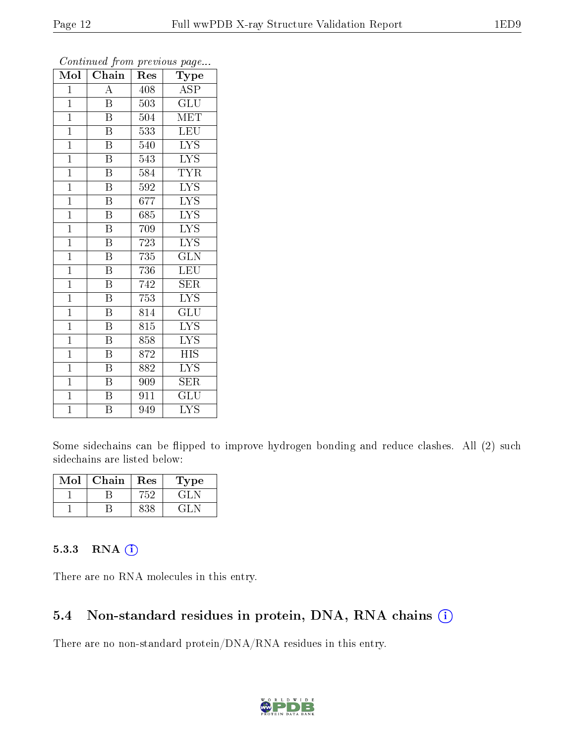| Mol            | Chain                     | Res              | Type                          |
|----------------|---------------------------|------------------|-------------------------------|
| $\mathbf 1$    | A                         | 408              | <b>ASP</b>                    |
| $\mathbf{1}$   | $\overline{\mathrm{B}}$   | 503              | $\mathrm{GLU}$                |
| $\overline{1}$ | $\overline{\mathrm{B}}$   | 504              | $\overline{\text{MET}}$       |
| $\mathbf{1}$   | $\overline{\mathrm{B}}$   | 533              | LEU                           |
| $\overline{1}$ | $\overline{\mathrm{B}}$   | 540              | $\overline{\text{LYS}}$       |
| $\overline{1}$ | $\overline{\mathrm{B}}$   | 543              | $\overline{\text{LYS}}$       |
| $\overline{1}$ | $\overline{\mathrm{B}}$   | 584              | <b>TYR</b>                    |
| $\overline{1}$ | $\overline{\mathbf{B}}$   | 592              | $\overline{\text{LYS}}$       |
| $\overline{1}$ | $\overline{\mathrm{B}}$   | 677              | $\overline{\text{LYS}}$       |
| $\mathbf{1}$   | $\overline{\mathrm{B}}$   | 685              | $\overline{\text{LYS}}$       |
| $\mathbf{1}$   | $\overline{\mathrm{B}}$   | 709              | $\overline{I} \overline{Y} S$ |
| $\overline{1}$ | $\overline{\mathrm{B}}$   | $\overline{723}$ | $\overline{\mathrm{LYS}}$     |
| $\mathbf{1}$   | $\overline{\mathrm{B}}$   | 735              | $\overline{\text{GLN}}$       |
| $\mathbf{1}$   | $\overline{\mathrm{B}}$   | 736              | LEU                           |
| $\mathbf{1}$   | $\overline{\mathrm{B}}$   | 742              | $\overline{\text{SER}}$       |
| $\mathbf{1}$   | $\overline{\mathrm{B}}$   | 753              | $\overline{I} \overline{Y} S$ |
| $\overline{1}$ | $\overline{\mathrm{B}}$   | 814              | $\overline{{\rm GLU}}$        |
| $\mathbf{1}$   | $\overline{\mathrm{B}}$   | $\overline{815}$ | $\overline{\text{LYS}}$       |
| $\mathbf{1}$   | $\boldsymbol{\mathrm{B}}$ | 858              | <b>LYS</b>                    |
| $\mathbf{1}$   | $\overline{\mathbf{B}}$   | 872              | <b>HIS</b>                    |
| $\mathbf{1}$   | $\boldsymbol{\mathrm{B}}$ | 882              | ĪУS                           |
| $\overline{1}$ | $\overline{\mathrm{B}}$   | 909              | <b>SER</b>                    |
| $\mathbf{1}$   | Β                         | 911              | GLU                           |
| $\overline{1}$ | $\overline{\mathrm{B}}$   | 949              | $\overline{\mathrm{LYS}}$     |

Continued from previous page...

Some sidechains can be flipped to improve hydrogen bonding and reduce clashes. All (2) such sidechains are listed below:

| Mol | Chain | Res | Type  |
|-----|-------|-----|-------|
|     |       | 752 | . H J |
|     |       |     | ÷L.   |

#### 5.3.3 RNA (1)

There are no RNA molecules in this entry.

#### 5.4 Non-standard residues in protein, DNA, RNA chains (i)

There are no non-standard protein/DNA/RNA residues in this entry.

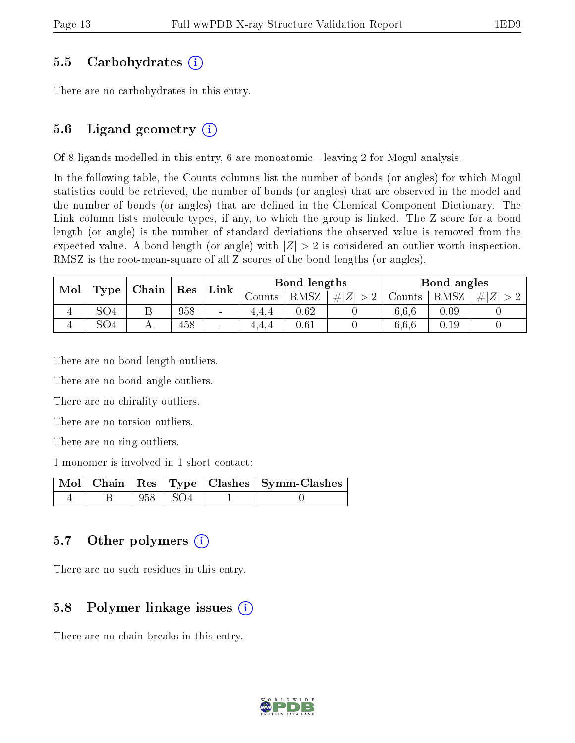#### 5.5 Carbohydrates (i)

There are no carbohydrates in this entry.

### 5.6 Ligand geometry  $(i)$

Of 8 ligands modelled in this entry, 6 are monoatomic - leaving 2 for Mogul analysis.

In the following table, the Counts columns list the number of bonds (or angles) for which Mogul statistics could be retrieved, the number of bonds (or angles) that are observed in the model and the number of bonds (or angles) that are defined in the Chemical Component Dictionary. The Link column lists molecule types, if any, to which the group is linked. The Z score for a bond length (or angle) is the number of standard deviations the observed value is removed from the expected value. A bond length (or angle) with  $|Z| > 2$  is considered an outlier worth inspection. RMSZ is the root-mean-square of all Z scores of the bond lengths (or angles).

| Mol<br>Type | Chain           |        | ${\mathop{\mathrm{Res}}\nolimits}$ | $\ln k$                      | Bond lengths |             |        | Bond angles |      |  |
|-------------|-----------------|--------|------------------------------------|------------------------------|--------------|-------------|--------|-------------|------|--|
|             |                 | Counts |                                    |                              | RMSZ         | # $ Z  > 2$ | Counts | RMSZ        | # Z  |  |
|             | SO <sub>4</sub> | ᅩ      | 958                                | $\qquad \qquad \blacksquare$ | 4.4.4        | $0.62\,$    |        | 6.6.6       | 0.09 |  |
|             | SO <sub>4</sub> |        | 458                                | $\sim$                       | 4.4.4        | $0.61\,$    |        | 6.6.6       | 0.19 |  |

There are no bond length outliers.

There are no bond angle outliers.

There are no chirality outliers.

There are no torsion outliers.

There are no ring outliers.

1 monomer is involved in 1 short contact:

|  |           | Mol   Chain   Res   Type   Clashes   Symm-Clashes |
|--|-----------|---------------------------------------------------|
|  | 958   SO4 |                                                   |

### 5.7 [O](https://www.wwpdb.org/validation/2017/XrayValidationReportHelp#nonstandard_residues_and_ligands)ther polymers  $(i)$

There are no such residues in this entry.

#### 5.8 Polymer linkage issues (i)

There are no chain breaks in this entry.

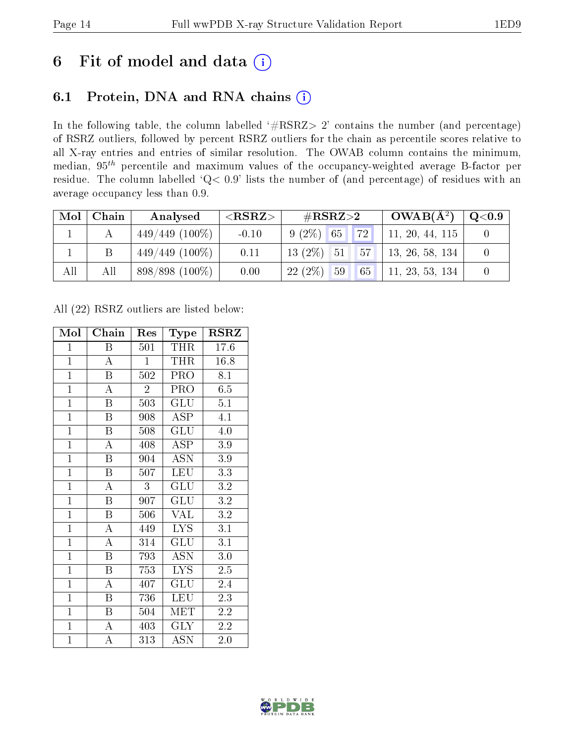## 6 Fit of model and data  $(i)$

### 6.1 Protein, DNA and RNA chains  $(i)$

In the following table, the column labelled  $#RSRZ> 2'$  contains the number (and percentage) of RSRZ outliers, followed by percent RSRZ outliers for the chain as percentile scores relative to all X-ray entries and entries of similar resolution. The OWAB column contains the minimum, median,  $95<sup>th</sup>$  percentile and maximum values of the occupancy-weighted average B-factor per residue. The column labelled ' $Q< 0.9$ ' lists the number of (and percentage) of residues with an average occupancy less than 0.9.

|     | $Mol$   Chain | Analysed          | ${ <\hspace{-1.5pt}{\mathrm{RSRZ}} \hspace{-1.5pt}>}$ | $\rm \#RSRZ{>}2$                       | $OWAB(A^2)$     | $\mathrm{Q}{<}0.9$ |
|-----|---------------|-------------------|-------------------------------------------------------|----------------------------------------|-----------------|--------------------|
|     |               | $449/449$ (100\%) | $-0.10$                                               | 72 <br>$9(2\%)$ 65                     | 11, 20, 44, 115 |                    |
|     |               | $449/449$ (100\%) | 0.11                                                  | $\vert 57 \vert \vert$<br>$13(2\%)$ 51 | 13, 26, 58, 134 |                    |
| All | All           | $898/898(100\%)$  | 0.00                                                  | $22(2\%)$<br>59<br>65                  | 11, 23, 53, 134 |                    |

All (22) RSRZ outliers are listed below:

| Mol            | Chain                   | Res            | <b>Type</b>               | <b>RSRZ</b>      |  |
|----------------|-------------------------|----------------|---------------------------|------------------|--|
| $\mathbf 1$    | Β                       | 501            | THR                       | 17.6             |  |
| $\overline{1}$ | $\overline{\rm A}$      | $\overline{1}$ | <b>THR</b>                | 16.8             |  |
| $\overline{1}$ | $\overline{\mathrm{B}}$ | 502            | PRO                       | 8.1              |  |
| $\overline{1}$ | $\overline{\rm A}$      | $\overline{2}$ | PRO                       | 6.5              |  |
| $\overline{1}$ | $\overline{\mathrm{B}}$ | 503            | $\overline{\mathrm{GLU}}$ | $\overline{5.1}$ |  |
| $\mathbf{1}$   | $\boldsymbol{B}$        | 908            | ASP                       | 4.1              |  |
| $\overline{1}$ | $\boldsymbol{B}$        | 508            | GLU                       | 4.0              |  |
| $\overline{1}$ | A                       | 408            | ASP                       | $3.9\,$          |  |
| $\overline{1}$ | B                       | 904            | ASN                       | $3.9\,$          |  |
| $\overline{1}$ | B                       | 507            | <b>LEU</b>                | $\overline{3.3}$ |  |
| $\mathbf{1}$   | $\mathbf{A}$            | 3              | GLU                       | $3.2\,$          |  |
| $\overline{1}$ | $\overline{\mathrm{B}}$ | 907            | GLU                       | $3.2\,$          |  |
| $\overline{1}$ | $\, {\bf B}$            | 506            | <b>VAL</b>                | $\overline{3.2}$ |  |
| $\overline{1}$ | $\mathbf{A}$            | 449            | LYS.                      | 3.1              |  |
| $\overline{1}$ | $\overline{\rm A}$      | 314            | GLU                       | $\overline{3.1}$ |  |
| $\mathbf{1}$   | $\boldsymbol{B}$        | 793            | <b>ASN</b>                | 3.0              |  |
| $\overline{1}$ | $\overline{\mathrm{B}}$ | 753            | <b>LYS</b>                | $2.5\,$          |  |
| $\mathbf{1}$   | $\boldsymbol{A}$        | 407            | GLU                       | 2.4              |  |
| $\mathbf{1}$   | B                       | 736            | LEU                       | 2.3              |  |
| $\overline{1}$ | $\overline{\mathbf{B}}$ | 504            | <b>MET</b>                | 2.2              |  |
| $\overline{1}$ | $\boldsymbol{A}$        | 403            | <b>GLY</b>                | 2.2              |  |
| $\overline{1}$ | $\overline{\rm A}$      | 313            | <b>ASN</b>                | 2.0              |  |